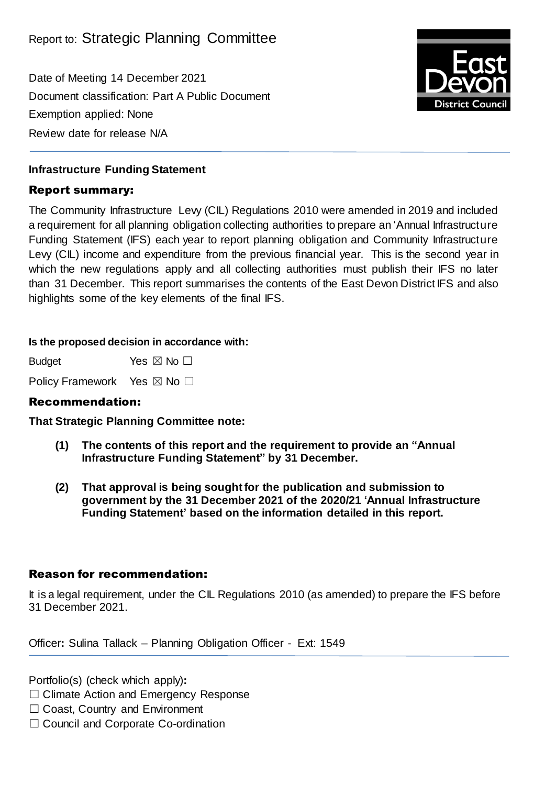Date of Meeting 14 December 2021 Document classification: Part A Public Document Exemption applied: None Review date for release N/A

# **Infrastructure Funding Statement**

## Report summary:

The Community Infrastructure Levy (CIL) Regulations 2010 were amended in 2019 and included a requirement for all planning obligation collecting authorities to prepare an 'Annual Infrastructure Funding Statement (IFS) each year to report planning obligation and Community Infrastructure Levy (CIL) income and expenditure from the previous financial year. This is the second year in which the new regulations apply and all collecting authorities must publish their IFS no later than 31 December. This report summarises the contents of the East Devon District IFS and also highlights some of the key elements of the final IFS.

### **Is the proposed decision in accordance with:**

Budget Yes  $\boxtimes$  No  $\square$ 

Policy Framework Yes ⊠ No □

## Recommendation:

## **That Strategic Planning Committee note:**

- **(1) The contents of this report and the requirement to provide an "Annual Infrastructure Funding Statement" by 31 December.**
- **(2) That approval is being soughtfor the publication and submission to government by the 31 December 2021 of the 2020/21 'Annual Infrastructure Funding Statement' based on the information detailed in this report.**

## Reason for recommendation:

It is a legal requirement, under the CIL Regulations 2010 (as amended) to prepare the IFS before 31 December 2021.

Officer**:** Sulina Tallack – Planning Obligation Officer - Ext: 1549

Portfolio(s) (check which apply)**:**

- ☐ Climate Action and Emergency Response
- □ Coast, Country and Environment
- □ Council and Corporate Co-ordination

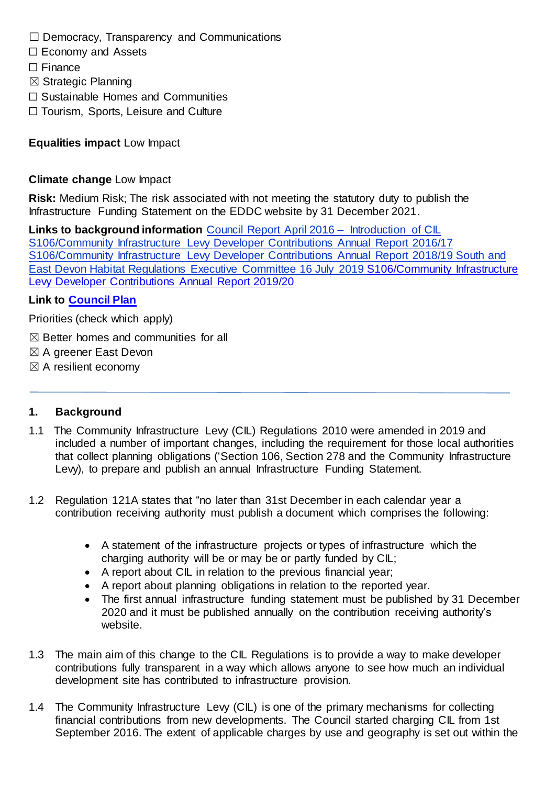- $\Box$  Democracy, Transparency and Communications
- ☐ Economy and Assets
- ☐ Finance
- $\boxtimes$  Strategic Planning
- □ Sustainable Homes and Communities
- ☐ Tourism, Sports, Leisure and Culture

**Equalities impact** Low Impact

#### **Climate change** Low Impact

**Risk:** Medium Risk; The risk associated with not meeting the statutory duty to publish the Infrastructure Funding Statement on the EDDC website by 31 December 2021.

**Links to background information** Council Report April 2016 – [Introduction](http://eastdevon.gov.uk/media/1652003/200416-combined-council-agenda.pdf) of CIL S106/Community Infrastructure Levy [Developer Contributions](http://eastdevon.gov.uk/media/2278935/271117-strategic-planning-committee-agenda-combined.pdf) Annual Report 2016/17 S106/Community Infrastructure Levy [Developer Contributions](https://democracy.eastdevon.gov.uk/documents/g265/Public%20reports%20pack%2020th-Aug-2019%2010.00%20Strategic%20Planning%20Committee.pdf?T=10) Annual Report 2018/19 South and East Devon Habitat [Regulations](https://democracy.eastdevon.gov.uk/documents/g307/Public%20reports%20pack%2016th-Jul-2019%2014.00%20South%20and%20East%20Devon%20Habitat%20Regulations%20Executive%20Committ.pdf?T=10) Executive Committee 16 July 2019 [S106/Community](http://www.eastdevon.gov.uk/papers/strategicplanning/151220bpAnnualCILS106report19-20.pdf) Infrastructure Levy [Developer Contributions](http://www.eastdevon.gov.uk/papers/strategicplanning/151220bpAnnualCILS106report19-20.pdf) Annual Report 2019/20

#### **Link to [Council Plan](https://eastdevon.gov.uk/councilplan/)**

Priorities (check which apply)

- $\boxtimes$  Better homes and communities for all
- ☒ A greener East Devon
- $\boxtimes$  A resilient economy

#### **1. Background**

- 1.1 The Community Infrastructure Levy (CIL) Regulations 2010 were amended in 2019 and included a number of important changes, including the requirement for those local authorities that collect planning obligations ('Section 106, Section 278 and the Community Infrastructure Levy), to prepare and publish an annual Infrastructure Funding Statement.
- 1.2 Regulation 121A states that "no later than 31st December in each calendar year a contribution receiving authority must publish a document which comprises the following:
	- A statement of the infrastructure projects or types of infrastructure which the charging authority will be or may be or partly funded by CIL;
	- A report about CIL in relation to the previous financial year;
	- A report about planning obligations in relation to the reported year.
	- The first annual infrastructure funding statement must be published by 31 December 2020 and it must be published annually on the contribution receiving authority's website.
- 1.3 The main aim of this change to the CIL Regulations is to provide a way to make developer contributions fully transparent in a way which allows anyone to see how much an individual development site has contributed to infrastructure provision.
- 1.4 The Community Infrastructure Levy (CIL) is one of the primary mechanisms for collecting financial contributions from new developments. The Council started charging CIL from 1st September 2016. The extent of applicable charges by use and geography is set out within the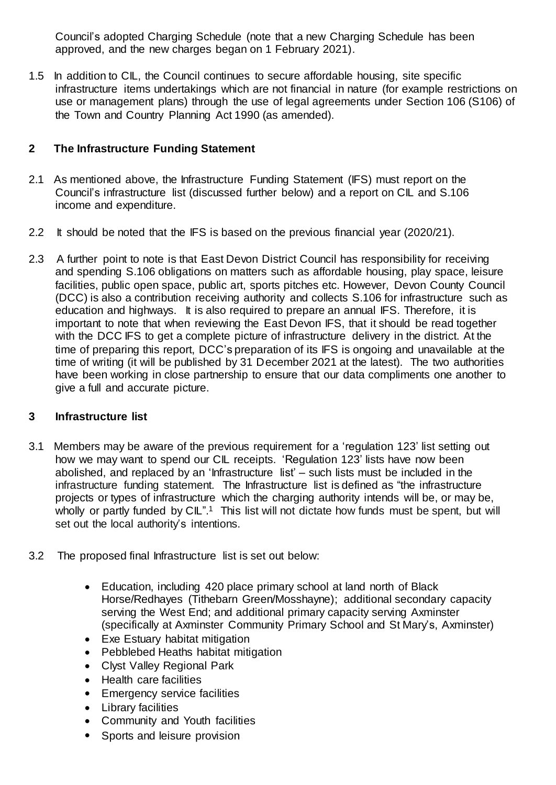Council's adopted Charging Schedule (note that a new Charging Schedule has been approved, and the new charges began on 1 February 2021).

1.5 In addition to CIL, the Council continues to secure affordable housing, site specific infrastructure items undertakings which are not financial in nature (for example restrictions on use or management plans) through the use of legal agreements under Section 106 (S106) of the Town and Country Planning Act 1990 (as amended).

### **2 The Infrastructure Funding Statement**

- 2.1 As mentioned above, the Infrastructure Funding Statement (IFS) must report on the Council's infrastructure list (discussed further below) and a report on CIL and S.106 income and expenditure.
- 2.2 It should be noted that the IFS is based on the previous financial year (2020/21).
- 2.3 A further point to note is that East Devon District Council has responsibility for receiving and spending S.106 obligations on matters such as affordable housing, play space, leisure facilities, public open space, public art, sports pitches etc. However, Devon County Council (DCC) is also a contribution receiving authority and collects S.106 for infrastructure such as education and highways. It is also required to prepare an annual IFS. Therefore, it is important to note that when reviewing the East Devon IFS, that it should be read together with the DCC IFS to get a complete picture of infrastructure delivery in the district. At the time of preparing this report, DCC's preparation of its IFS is ongoing and unavailable at the time of writing (it will be published by 31 December 2021 at the latest). The two authorities have been working in close partnership to ensure that our data compliments one another to give a full and accurate picture.

#### **3 Infrastructure list**

- 3.1 Members may be aware of the previous requirement for a 'regulation 123' list setting out how we may want to spend our CIL receipts. 'Regulation 123' lists have now been abolished, and replaced by an 'Infrastructure list' – such lists must be included in the infrastructure funding statement. The Infrastructure list is defined as "the infrastructure projects or types of infrastructure which the charging authority intends will be, or may be, wholly or partly funded by CIL".<sup>1</sup> This list will not dictate how funds must be spent, but will set out the local authority's intentions.
- 3.2 The proposed final Infrastructure list is set out below:
	- Education, including 420 place primary school at land north of Black Horse/Redhayes (Tithebarn Green/Mosshayne); additional secondary capacity serving the West End; and additional primary capacity serving Axminster (specifically at Axminster Community Primary School and St Mary's, Axminster)
	- Exe Estuary habitat mitigation
	- Pebblebed Heaths habitat mitigation
	- Clyst Valley Regional Park
	- Health care facilities
	- **Emergency service facilities**
	- Library facilities
	- Community and Youth facilities
	- Sports and leisure provision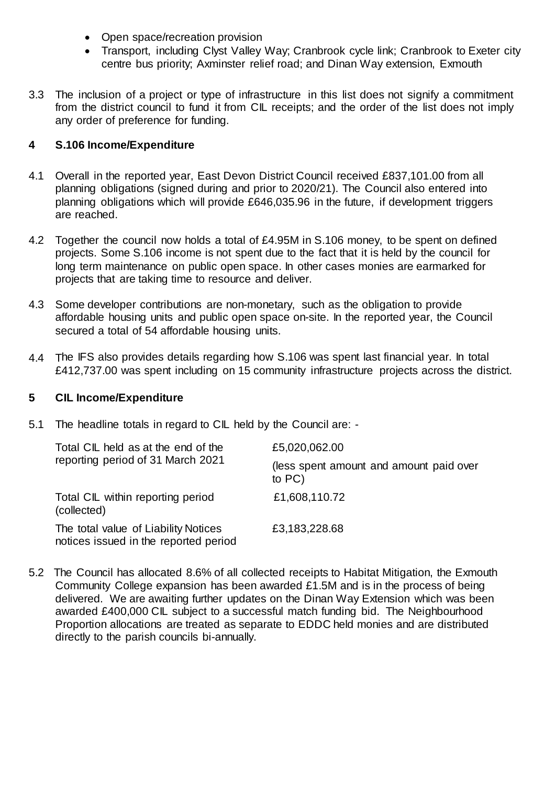- Open space/recreation provision
- Transport, including Clyst Valley Way; Cranbrook cycle link; Cranbrook to Exeter city centre bus priority; Axminster relief road; and Dinan Way extension, Exmouth
- 3.3 The inclusion of a project or type of infrastructure in this list does not signify a commitment from the district council to fund it from CIL receipts; and the order of the list does not imply any order of preference for funding.

### **4 S.106 Income/Expenditure**

- 4.1 Overall in the reported year, East Devon District Council received £837,101.00 from all planning obligations (signed during and prior to 2020/21). The Council also entered into planning obligations which will provide £646,035.96 in the future, if development triggers are reached.
- 4.2 Together the council now holds a total of £4.95M in S.106 money, to be spent on defined projects. Some S.106 income is not spent due to the fact that it is held by the council for long term maintenance on public open space. In other cases monies are earmarked for projects that are taking time to resource and deliver.
- 4.3 Some developer contributions are non-monetary, such as the obligation to provide affordable housing units and public open space on-site. In the reported year, the Council secured a total of 54 affordable housing units.
- 4.4 The IFS also provides details regarding how S.106 was spent last financial year. In total £412,737.00 was spent including on 15 community infrastructure projects across the district.

#### **5 CIL Income/Expenditure**

5.1 The headline totals in regard to CIL held by the Council are: -

| Total CIL held as at the end of the<br>reporting period of 31 March 2021      | £5,020,062.00                                        |
|-------------------------------------------------------------------------------|------------------------------------------------------|
|                                                                               | (less spent amount and amount paid over<br>to $PC$ ) |
| Total CIL within reporting period<br>(collected)                              | £1,608,110.72                                        |
| The total value of Liability Notices<br>notices issued in the reported period | £3,183,228.68                                        |

5.2 The Council has allocated 8.6% of all collected receipts to Habitat Mitigation, the Exmouth Community College expansion has been awarded £1.5M and is in the process of being delivered. We are awaiting further updates on the Dinan Way Extension which was been awarded £400,000 CIL subject to a successful match funding bid. The Neighbourhood Proportion allocations are treated as separate to EDDC held monies and are distributed directly to the parish councils bi-annually.